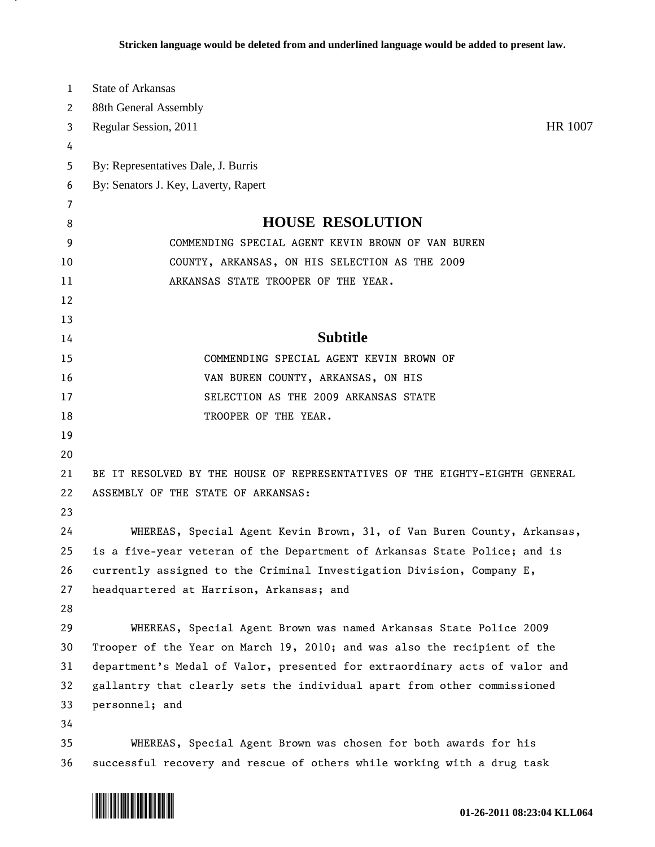| 1  | <b>State of Arkansas</b>                                                    |
|----|-----------------------------------------------------------------------------|
| 2  | 88th General Assembly                                                       |
| 3  | Regular Session, 2011<br>HR 1007                                            |
| 4  |                                                                             |
| 5  | By: Representatives Dale, J. Burris                                         |
| 6  | By: Senators J. Key, Laverty, Rapert                                        |
| 7  |                                                                             |
| 8  | <b>HOUSE RESOLUTION</b>                                                     |
| 9  | COMMENDING SPECIAL AGENT KEVIN BROWN OF VAN BUREN                           |
| 10 | COUNTY, ARKANSAS, ON HIS SELECTION AS THE 2009                              |
| 11 | ARKANSAS STATE TROOPER OF THE YEAR.                                         |
| 12 |                                                                             |
| 13 |                                                                             |
| 14 | <b>Subtitle</b>                                                             |
| 15 | COMMENDING SPECIAL AGENT KEVIN BROWN OF                                     |
| 16 | VAN BUREN COUNTY, ARKANSAS, ON HIS                                          |
| 17 | SELECTION AS THE 2009 ARKANSAS STATE                                        |
| 18 | TROOPER OF THE YEAR.                                                        |
| 19 |                                                                             |
| 20 |                                                                             |
| 21 | BE IT RESOLVED BY THE HOUSE OF REPRESENTATIVES OF THE EIGHTY-EIGHTH GENERAL |
| 22 | ASSEMBLY OF THE STATE OF ARKANSAS:                                          |
| 23 |                                                                             |
| 24 | WHEREAS, Special Agent Kevin Brown, 31, of Van Buren County, Arkansas,      |
| 25 | is a five-year veteran of the Department of Arkansas State Police; and is   |
| 26 | currently assigned to the Criminal Investigation Division, Company E,       |
| 27 | headquartered at Harrison, Arkansas; and                                    |
| 28 |                                                                             |
| 29 | WHEREAS, Special Agent Brown was named Arkansas State Police 2009           |
| 30 | Trooper of the Year on March 19, 2010; and was also the recipient of the    |
| 31 | department's Medal of Valor, presented for extraordinary acts of valor and  |
| 32 | gallantry that clearly sets the individual apart from other commissioned    |
| 33 | personnel; and                                                              |
| 34 |                                                                             |
| 35 | WHEREAS, Special Agent Brown was chosen for both awards for his             |
| 36 | successful recovery and rescue of others while working with a drug task     |



.